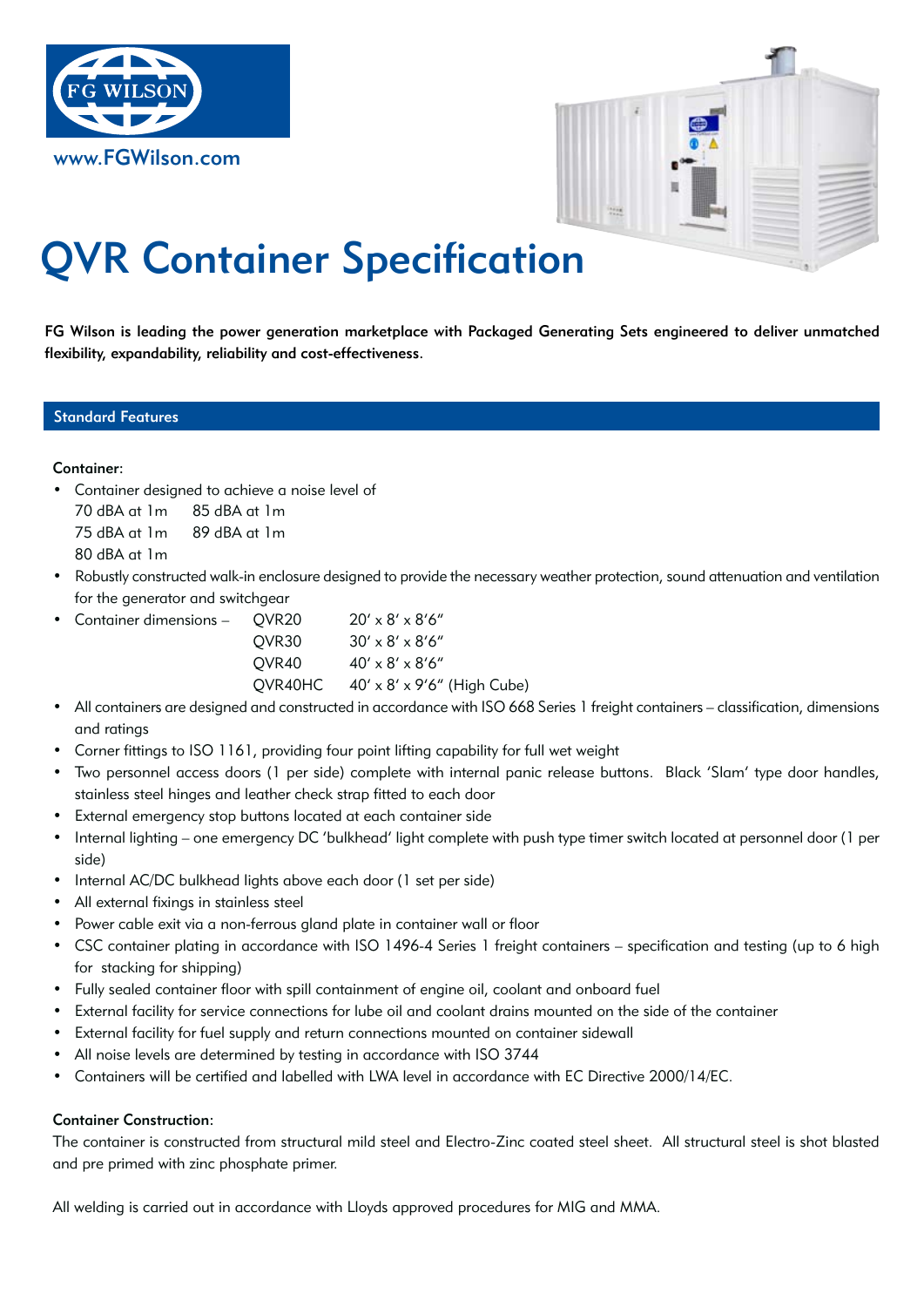



# QVR Container Specification

FG Wilson is leading the power generation marketplace with Packaged Generating Sets engineered to deliver unmatched flexibility, expandability, reliability and cost-effectiveness.

# Standard Features

#### Container:

• Container designed to achieve a noise level of

 70 dBA at 1m 85 dBA at 1m

 75 dBA at 1m 89 dBA at 1m

 80 dBA at 1m

Robustly constructed walk-in enclosure designed to provide the necessary weather protection, sound attenuation and ventilation for the generator and switchgear

| • Container dimensions – OVR20 |                   | $20' \times 8' \times 8'$ 6"                       |
|--------------------------------|-------------------|----------------------------------------------------|
|                                | OVR <sub>30</sub> | $30' \times 8' \times 8'$ 6"                       |
|                                | OVR40             | $40' \times 8' \times 8'6''$                       |
|                                |                   | $QVR40HC$ $40' \times 8' \times 9'6''$ (High Cube) |
|                                |                   |                                                    |

- All containers are designed and constructed in accordance with ISO 668 Series 1 freight containers classification, dimensions and ratings
- Corner fittings to ISO 1161, providing four point lifting capability for full wet weight
- Two personnel access doors (1 per side) complete with internal panic release buttons. Black 'Slam' type door handles, stainless steel hinges and leather check strap fitted to each door
- External emergency stop buttons located at each container side
- Internal lighting one emergency DC 'bulkhead' light complete with push type timer switch located at personnel door (1 per side)
- Internal AC/DC bulkhead lights above each door (1 set per side)
- All external fixings in stainless steel
- Power cable exit via a non-ferrous gland plate in container wall or floor
- • CSC container plating in accordance with ISO 1496-4 Series 1 freight containers specification and testing (up to 6 high for stacking for shipping)
- • Fully sealed container floor with spill containment of engine oil, coolant and onboard fuel
- External facility for service connections for lube oil and coolant drains mounted on the side of the container
- External facility for fuel supply and return connections mounted on container sidewall
- All noise levels are determined by testing in accordance with ISO 3744
- Containers will be certified and labelled with LWA level in accordance with EC Directive 2000/14/EC.

# Container Construction:

The container is constructed from structural mild steel and Electro-Zinc coated steel sheet. All structural steel is shot blasted and pre primed with zinc phosphate primer.

All welding is carried out in accordance with Lloyds approved procedures for MIG and MMA.